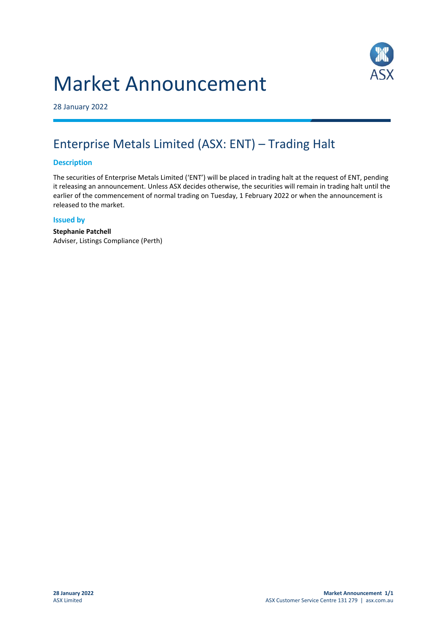# Market Announcement



28 January 2022

## Enterprise Metals Limited (ASX: ENT) – Trading Halt

#### **Description**

The securities of Enterprise Metals Limited ('ENT') will be placed in trading halt at the request of ENT, pending it releasing an announcement. Unless ASX decides otherwise, the securities will remain in trading halt until the earlier of the commencement of normal trading on Tuesday, 1 February 2022 or when the announcement is released to the market.

#### **Issued by**

**Stephanie Patchell** Adviser, Listings Compliance (Perth)